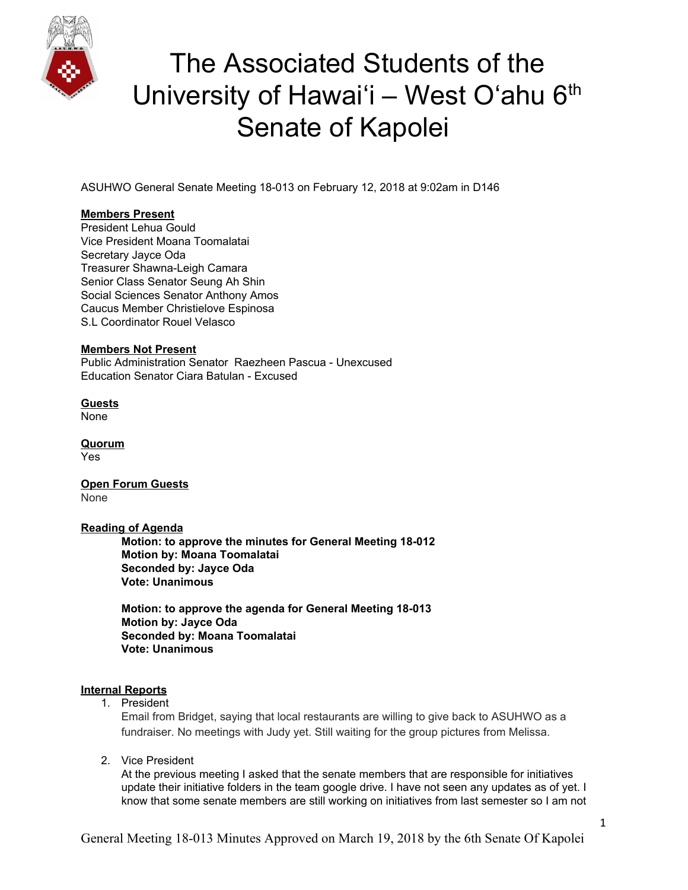

# The Associated Students of the University of Hawai'i – West O'ahu 6<sup>th</sup> Senate of Kapolei

ASUHWO General Senate Meeting 18-013 on February 12, 2018 at 9:02am in D146

### **Members Present**

President Lehua Gould Vice President Moana Toomalatai Secretary Jayce Oda Treasurer Shawna-Leigh Camara Senior Class Senator Seung Ah Shin Social Sciences Senator Anthony Amos Caucus Member Christielove Espinosa S.L Coordinator Rouel Velasco

#### **Members Not Present**

Public Administration Senator Raezheen Pascua - Unexcused Education Senator Ciara Batulan - Excused

**Guests** None

**Quorum** Yes

**Open Forum Guests** None

#### **Reading of Agenda**

**Motion: to approve the minutes for General Meeting 18-012 Motion by: Moana Toomalatai Seconded by: Jayce Oda Vote: Unanimous**

**Motion: to approve the agenda for General Meeting 18-013 Motion by: Jayce Oda Seconded by: Moana Toomalatai Vote: Unanimous**

#### **Internal Reports**

1. President

Email from Bridget, saying that local restaurants are willing to give back to ASUHWO as a fundraiser. No meetings with Judy yet. Still waiting for the group pictures from Melissa.

2. Vice President

At the previous meeting I asked that the senate members that are responsible for initiatives update their initiative folders in the team google drive. I have not seen any updates as of yet. I know that some senate members are still working on initiatives from last semester so I am not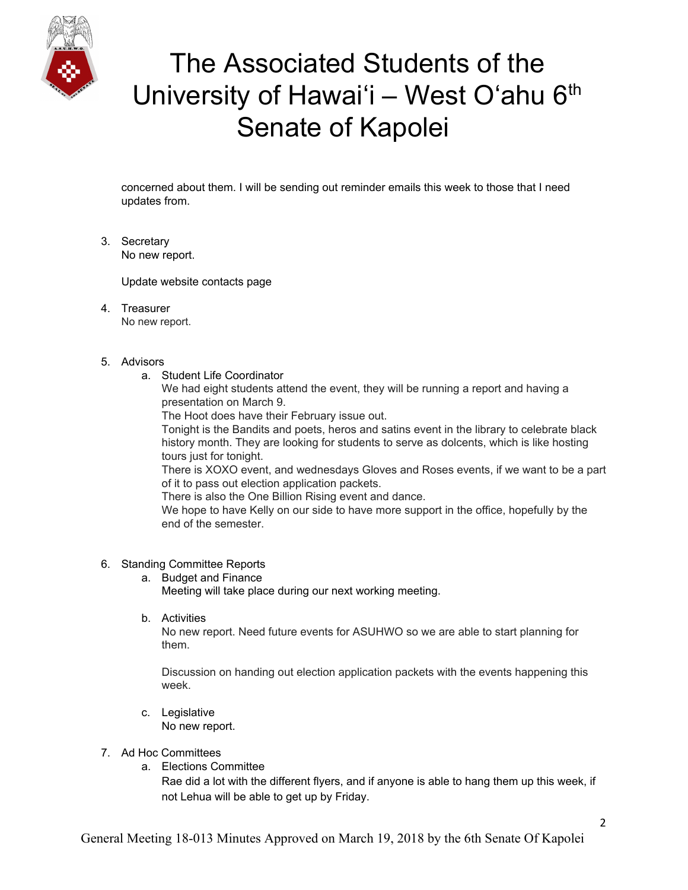

# The Associated Students of the University of Hawai'i – West O'ahu 6<sup>th</sup> Senate of Kapolei

concerned about them. I will be sending out reminder emails this week to those that I need updates from.

3. Secretary No new report.

Update website contacts page

- 4. Treasurer No new report.
- 5. Advisors
	- a. Student Life Coordinator

We had eight students attend the event, they will be running a report and having a presentation on March 9.

The Hoot does have their February issue out.

Tonight is the Bandits and poets, heros and satins event in the library to celebrate black history month. They are looking for students to serve as dolcents, which is like hosting tours just for tonight.

There is XOXO event, and wednesdays Gloves and Roses events, if we want to be a part of it to pass out election application packets.

There is also the One Billion Rising event and dance.

We hope to have Kelly on our side to have more support in the office, hopefully by the end of the semester.

#### 6. Standing Committee Reports

- a. Budget and Finance Meeting will take place during our next working meeting.
- b. Activities

No new report. Need future events for ASUHWO so we are able to start planning for them.

Discussion on handing out election application packets with the events happening this week.

- c. Legislative No new report.
- 7. Ad Hoc Committees
	- a. Elections Committee

Rae did a lot with the different flyers, and if anyone is able to hang them up this week, if not Lehua will be able to get up by Friday.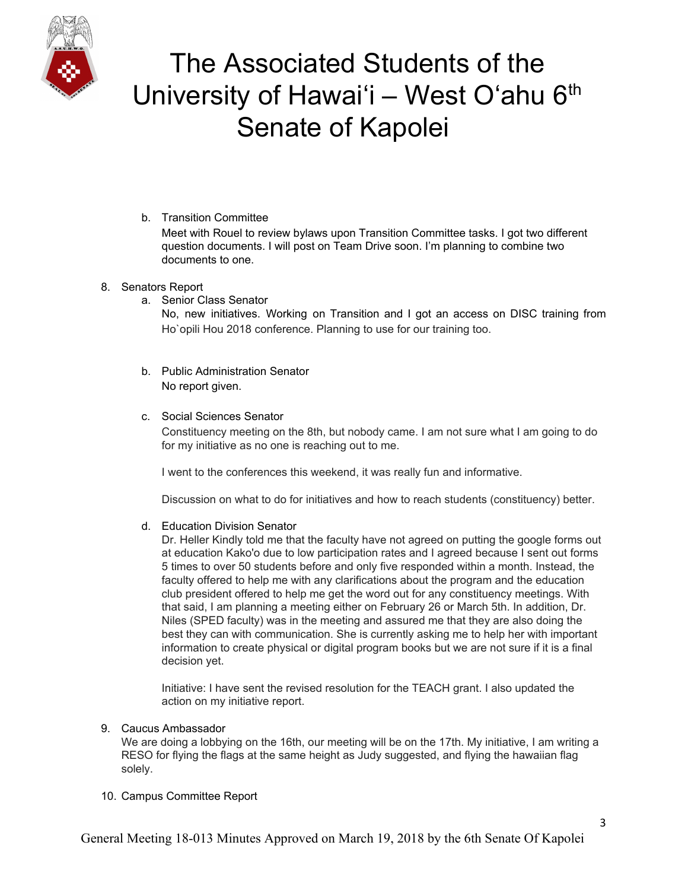

# The Associated Students of the University of Hawai'i – West O'ahu  $6<sup>th</sup>$ Senate of Kapolei

### b. Transition Committee

Meet with Rouel to review bylaws upon Transition Committee tasks. I got two different question documents. I will post on Team Drive soon. I'm planning to combine two documents to one.

### 8. Senators Report

a. Senior Class Senator

No, new initiatives. Working on Transition and I got an access on DISC training from Ho`opili Hou 2018 conference. Planning to use for our training too.

b. Public Administration Senator No report given.

### c. Social Sciences Senator

Constituency meeting on the 8th, but nobody came. I am not sure what I am going to do for my initiative as no one is reaching out to me.

I went to the conferences this weekend, it was really fun and informative.

Discussion on what to do for initiatives and how to reach students (constituency) better.

#### d. Education Division Senator

Dr. Heller Kindly told me that the faculty have not agreed on putting the google forms out at education Kako'o due to low participation rates and I agreed because I sent out forms 5 times to over 50 students before and only five responded within a month. Instead, the faculty offered to help me with any clarifications about the program and the education club president offered to help me get the word out for any constituency meetings. With that said, I am planning a meeting either on February 26 or March 5th. In addition, Dr. Niles (SPED faculty) was in the meeting and assured me that they are also doing the best they can with communication. She is currently asking me to help her with important information to create physical or digital program books but we are not sure if it is a final decision yet.

Initiative: I have sent the revised resolution for the TEACH grant. I also updated the action on my initiative report.

#### 9. Caucus Ambassador

We are doing a lobbying on the 16th, our meeting will be on the 17th. My initiative, I am writing a RESO for flying the flags at the same height as Judy suggested, and flying the hawaiian flag solely.

#### 10. Campus Committee Report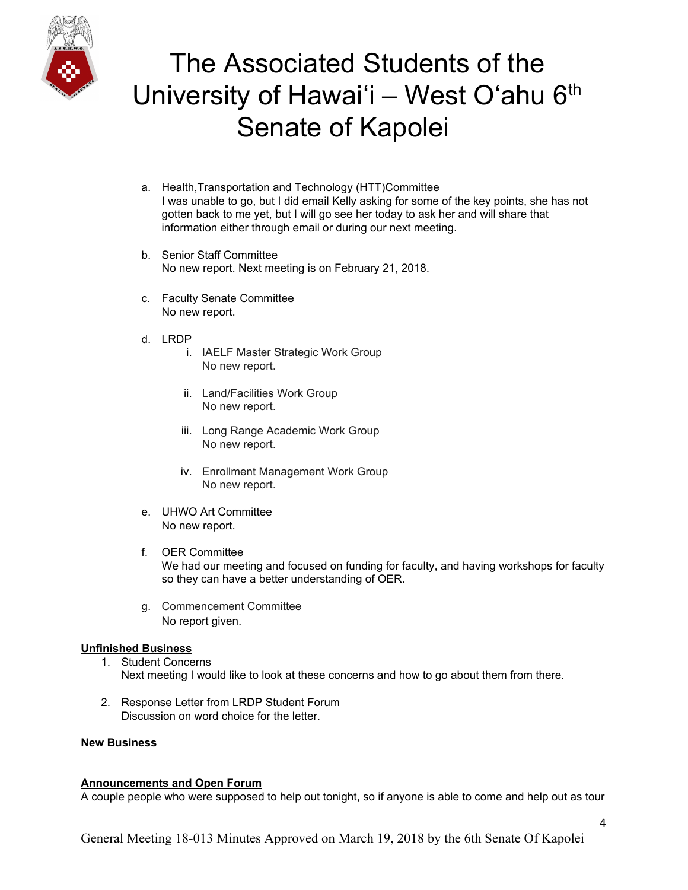

# The Associated Students of the University of Hawai'i - West O'ahu 6<sup>th</sup> Senate of Kapolei

- a. Health,Transportation and Technology (HTT)Committee I was unable to go, but I did email Kelly asking for some of the key points, she has not gotten back to me yet, but I will go see her today to ask her and will share that information either through email or during our next meeting.
- b. Senior Staff Committee No new report. Next meeting is on February 21, 2018.
- c. Faculty Senate Committee No new report.
- d. LRDP
	- i. IAELF Master Strategic Work Group No new report.
	- ii. Land/Facilities Work Group No new report.
	- iii. Long Range Academic Work Group No new report.
	- iv. Enrollment Management Work Group No new report.
- e. UHWO Art Committee No new report.
- f. OER Committee We had our meeting and focused on funding for faculty, and having workshops for faculty so they can have a better understanding of OER.
- g. Commencement Committee No report given.

#### **Unfinished Business**

- 1. Student Concerns Next meeting I would like to look at these concerns and how to go about them from there.
- 2. Response Letter from LRDP Student Forum Discussion on word choice for the letter.

#### **New Business**

#### **Announcements and Open Forum**

A couple people who were supposed to help out tonight, so if anyone is able to come and help out as tour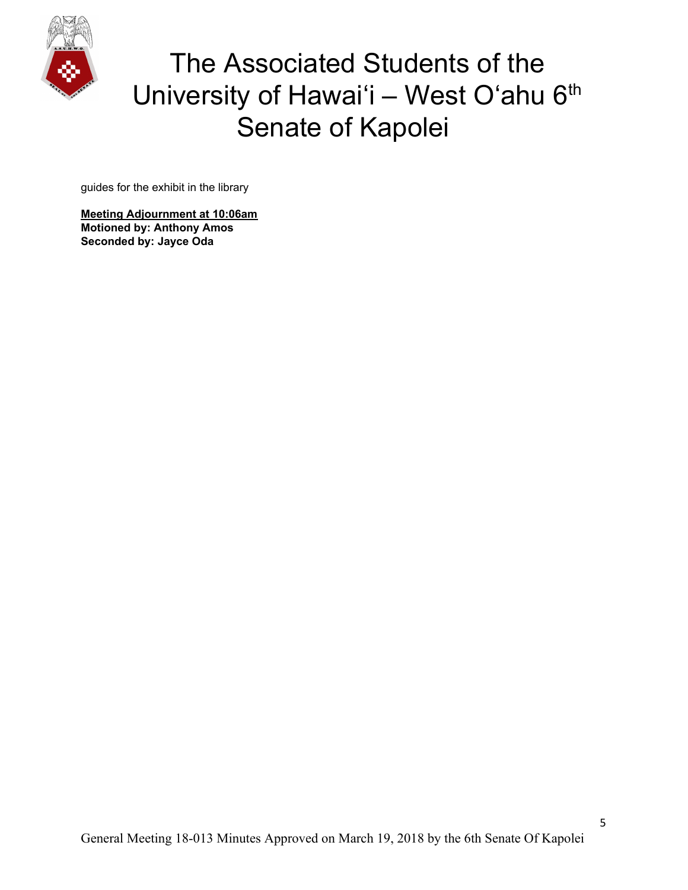

# The Associated Students of the University of Hawai'i - West O'ahu 6<sup>th</sup> Senate of Kapolei

guides for the exhibit in the library

**Meeting Adjournment at 10:06am Motioned by: Anthony Amos Seconded by: Jayce Oda**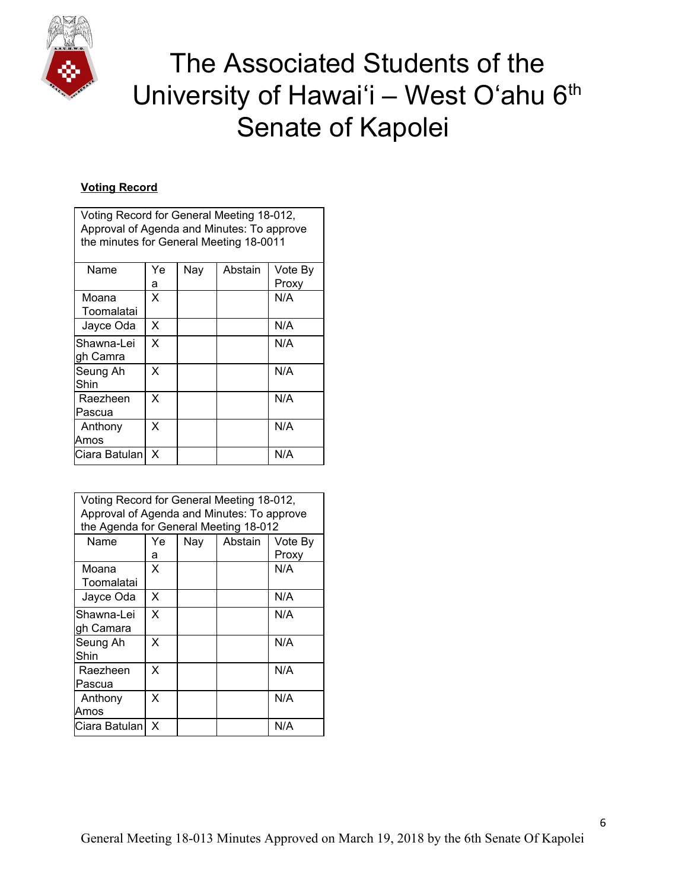

 $\mathsf{r}$ 

# The Associated Students of the University of Hawai'i - West O'ahu 6th Senate of Kapolei

### **Voting Record**

| Voting Record for General Meeting 18-012,  |     |     |         |         |  |  |  |
|--------------------------------------------|-----|-----|---------|---------|--|--|--|
| Approval of Agenda and Minutes: To approve |     |     |         |         |  |  |  |
| the minutes for General Meeting 18-0011    |     |     |         |         |  |  |  |
|                                            |     |     |         |         |  |  |  |
| Name                                       | Ye. | Nay | Abstain | Vote By |  |  |  |
|                                            | а   |     |         | Proxy   |  |  |  |
| Moana                                      | X   |     |         | N/A     |  |  |  |
| Toomalatai                                 |     |     |         |         |  |  |  |
| Jayce Oda                                  | X   |     |         | N/A     |  |  |  |
| Shawna-Lei                                 | X   |     |         | N/A     |  |  |  |
| gh Camra                                   |     |     |         |         |  |  |  |
| Seung Ah                                   | X   |     |         | N/A     |  |  |  |
| Shin                                       |     |     |         |         |  |  |  |
| Raezheen                                   | X   |     |         | N/A     |  |  |  |
| Pascua                                     |     |     |         |         |  |  |  |
| Anthony                                    | x   |     |         | N/A     |  |  |  |
| Amos                                       |     |     |         |         |  |  |  |
| Ciara Batulan                              | X   |     |         | N/A     |  |  |  |
|                                            |     |     |         |         |  |  |  |

| Voting Record for General Meeting 18-012,<br>Approval of Agenda and Minutes: To approve<br>the Agenda for General Meeting 18-012 |     |     |         |         |  |  |
|----------------------------------------------------------------------------------------------------------------------------------|-----|-----|---------|---------|--|--|
| Name                                                                                                                             | Ye. | Nay | Abstain | Vote By |  |  |
|                                                                                                                                  | а   |     |         | Proxy   |  |  |
| Moana<br>Toomalatai                                                                                                              | X   |     |         | N/A     |  |  |
| Jayce Oda                                                                                                                        | X   |     |         | N/A     |  |  |
| Shawna-Lei<br>gh Camara                                                                                                          | X   |     |         | N/A     |  |  |
| Seung Ah<br>Shin                                                                                                                 | x   |     |         | N/A     |  |  |
| Raezheen<br>Pascua                                                                                                               | X   |     |         | N/A     |  |  |
| Anthony<br>Amos                                                                                                                  | X   |     |         | N/A     |  |  |
| Ciara Batulan                                                                                                                    | X   |     |         | N/A     |  |  |